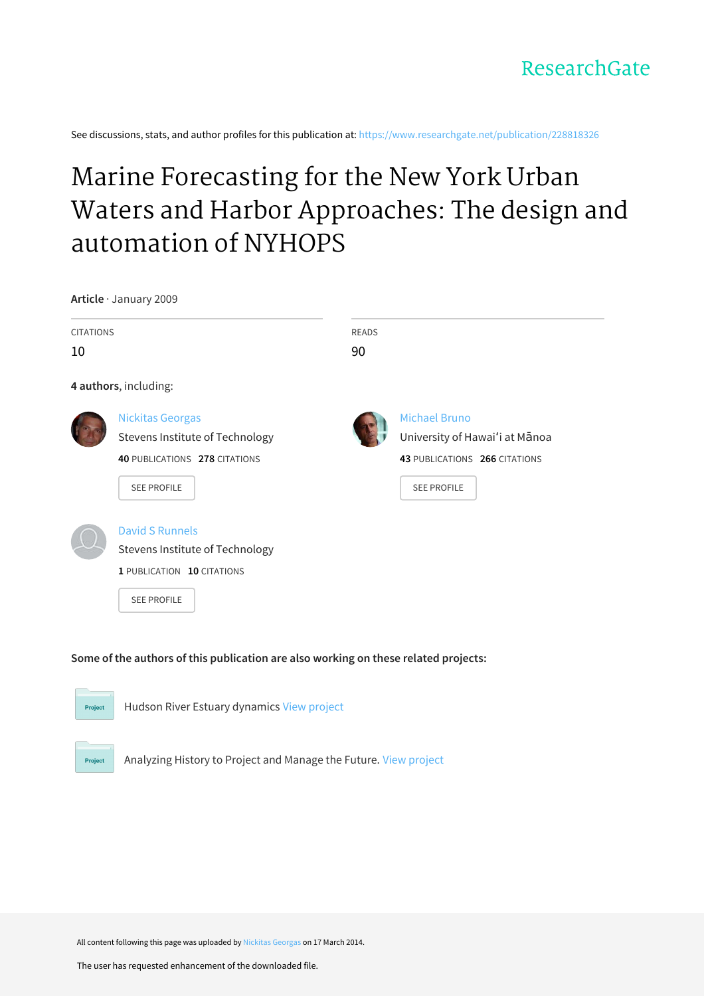See discussions, stats, and author profiles for this publication at: https://www.researchgate.net/publication/228818326

# Marine Forecasting for the New York Urban Waters and Harbor Approaches: The design and automation of NYHOPS

**Article** · January 2009

| <b>CITATIONS</b> |                                 | <b>READS</b> |                                |
|------------------|---------------------------------|--------------|--------------------------------|
| 10               |                                 | 90           |                                |
|                  | 4 authors, including:           |              |                                |
|                  | <b>Nickitas Georgas</b>         |              | Michael Bruno                  |
|                  | Stevens Institute of Technology |              | University of Hawai'i at Mānoa |
|                  | 40 PUBLICATIONS 278 CITATIONS   |              | 43 PUBLICATIONS 266 CITATIONS  |
|                  | <b>SEE PROFILE</b>              |              | <b>SEE PROFILE</b>             |
|                  | <b>David S Runnels</b>          |              |                                |
|                  | Stevens Institute of Technology |              |                                |
|                  | 1 PUBLICATION 10 CITATIONS      |              |                                |
|                  | <b>SEE PROFILE</b>              |              |                                |

## Some of the authors of this publication are also working on these related projects:



Project

Hudson River Estuary dynamics View project

Analyzing History to Project and Manage the Future. View project

All content following this page was uploaded by Nickitas Georgas on 17 March 2014.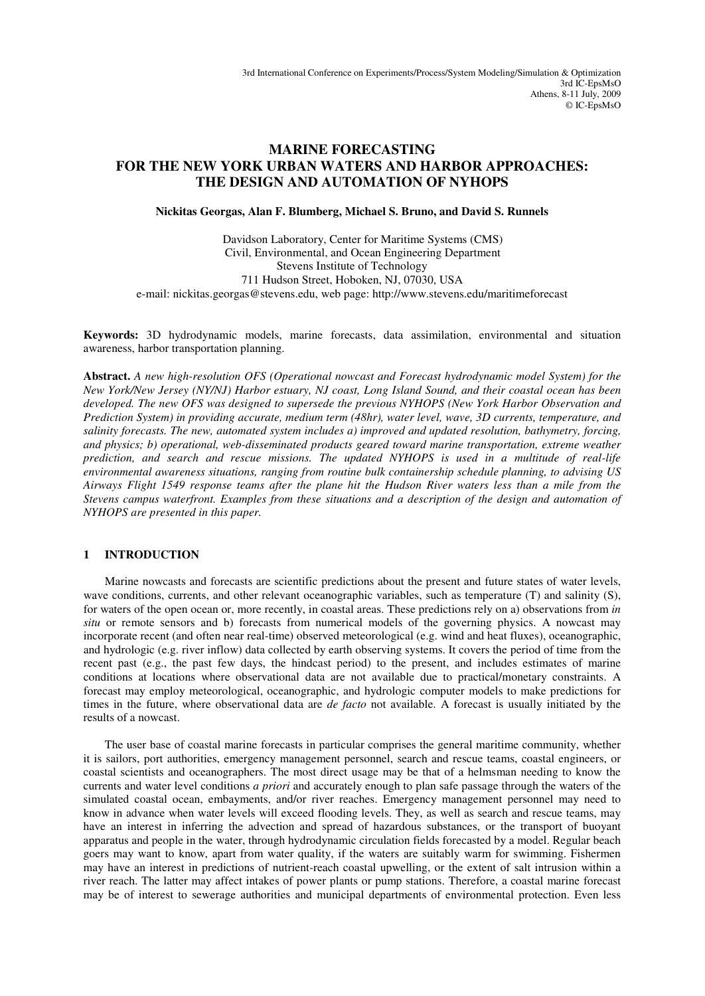# **MARINE FORECASTING FOR THE NEW YORK URBAN WATERS AND HARBOR APPROACHES: THE DESIGN AND AUTOMATION OF NYHOPS**

**Nickitas Georgas, Alan F. Blumberg, Michael S. Bruno, and David S. Runnels**

Davidson Laboratory, Center for Maritime Systems (CMS) Civil, Environmental, and Ocean Engineering Department Stevens Institute of Technology 711 Hudson Street, Hoboken, NJ, 07030, USA e-mail: nickitas.georgas@stevens.edu, web page: http://www.stevens.edu/maritimeforecast

**Keywords:** 3D hydrodynamic models, marine forecasts, data assimilation, environmental and situation awareness, harbor transportation planning.

**Abstract.** *A new high-resolution OFS (Operational nowcast and Forecast hydrodynamic model System) for the New York/New Jersey (NY/NJ) Harbor estuary, NJ coast, Long Island Sound, and their coastal ocean has been developed. The new OFS was designed to supersede the previous NYHOPS (New York Harbor Observation and Prediction System) in providing accurate, medium term (48hr), water level, wave, 3D currents, temperature, and salinity forecasts. The new, automated system includes a) improved and updated resolution, bathymetry, forcing, and physics; b) operational, web-disseminated products geared toward marine transportation, extreme weather prediction, and search and rescue missions. The updated NYHOPS is used in a multitude of real-life environmental awareness situations, ranging from routine bulk containership schedule planning, to advising US Airways Flight 1549 response teams after the plane hit the Hudson River waters less than a mile from the Stevens campus waterfront. Examples from these situations and a description of the design and automation of NYHOPS are presented in this paper.* 

### **1 INTRODUCTION**

Marine nowcasts and forecasts are scientific predictions about the present and future states of water levels, wave conditions, currents, and other relevant oceanographic variables, such as temperature (T) and salinity (S), for waters of the open ocean or, more recently, in coastal areas. These predictions rely on a) observations from *in situ* or remote sensors and b) forecasts from numerical models of the governing physics. A nowcast may incorporate recent (and often near real-time) observed meteorological (e.g. wind and heat fluxes), oceanographic, and hydrologic (e.g. river inflow) data collected by earth observing systems. It covers the period of time from the recent past (e.g., the past few days, the hindcast period) to the present, and includes estimates of marine conditions at locations where observational data are not available due to practical/monetary constraints. A forecast may employ meteorological, oceanographic, and hydrologic computer models to make predictions for times in the future, where observational data are *de facto* not available. A forecast is usually initiated by the results of a nowcast.

The user base of coastal marine forecasts in particular comprises the general maritime community, whether it is sailors, port authorities, emergency management personnel, search and rescue teams, coastal engineers, or coastal scientists and oceanographers. The most direct usage may be that of a helmsman needing to know the currents and water level conditions *a priori* and accurately enough to plan safe passage through the waters of the simulated coastal ocean, embayments, and/or river reaches. Emergency management personnel may need to know in advance when water levels will exceed flooding levels. They, as well as search and rescue teams, may have an interest in inferring the advection and spread of hazardous substances, or the transport of buoyant apparatus and people in the water, through hydrodynamic circulation fields forecasted by a model. Regular beach goers may want to know, apart from water quality, if the waters are suitably warm for swimming. Fishermen may have an interest in predictions of nutrient-reach coastal upwelling, or the extent of salt intrusion within a river reach. The latter may affect intakes of power plants or pump stations. Therefore, a coastal marine forecast may be of interest to sewerage authorities and municipal departments of environmental protection. Even less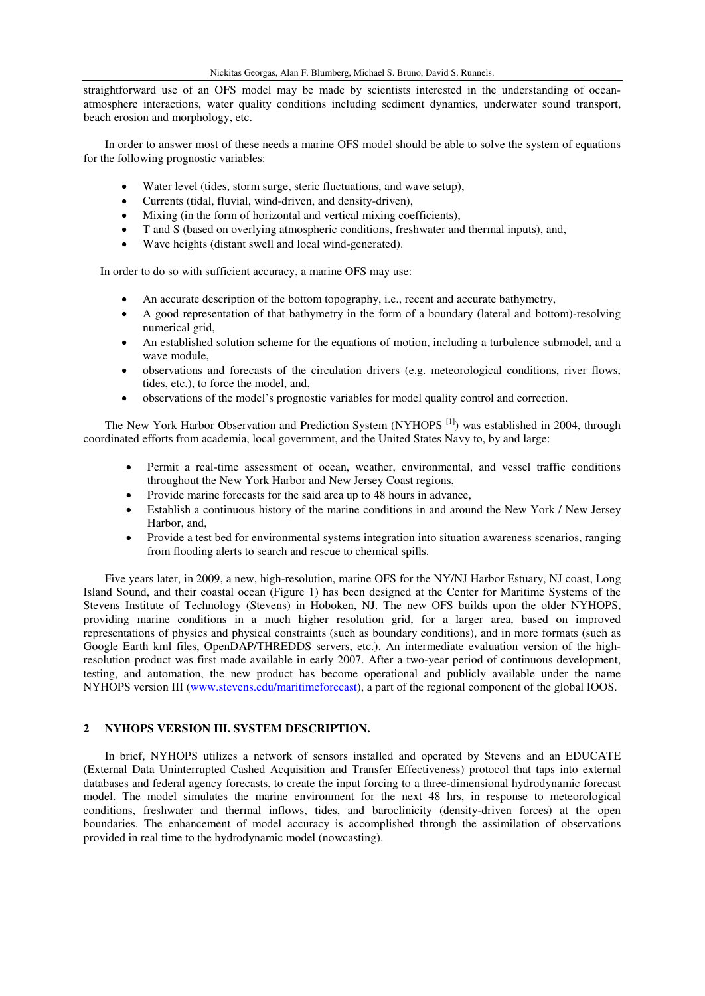straightforward use of an OFS model may be made by scientists interested in the understanding of oceanatmosphere interactions, water quality conditions including sediment dynamics, underwater sound transport, beach erosion and morphology, etc.

In order to answer most of these needs a marine OFS model should be able to solve the system of equations for the following prognostic variables:

- Water level (tides, storm surge, steric fluctuations, and wave setup),
- Currents (tidal, fluvial, wind-driven, and density-driven),
- Mixing (in the form of horizontal and vertical mixing coefficients),
- T and S (based on overlying atmospheric conditions, freshwater and thermal inputs), and,
- Wave heights (distant swell and local wind-generated).

In order to do so with sufficient accuracy, a marine OFS may use:

- An accurate description of the bottom topography, i.e., recent and accurate bathymetry,
- A good representation of that bathymetry in the form of a boundary (lateral and bottom)-resolving numerical grid,
- An established solution scheme for the equations of motion, including a turbulence submodel, and a wave module,
- observations and forecasts of the circulation drivers (e.g. meteorological conditions, river flows, tides, etc.), to force the model, and,
- observations of the model's prognostic variables for model quality control and correction.

The New York Harbor Observation and Prediction System (NYHOPS <sup>[1]</sup>) was established in 2004, through coordinated efforts from academia, local government, and the United States Navy to, by and large:

- Permit a real-time assessment of ocean, weather, environmental, and vessel traffic conditions throughout the New York Harbor and New Jersey Coast regions,
- Provide marine forecasts for the said area up to 48 hours in advance,
- Establish a continuous history of the marine conditions in and around the New York / New Jersey Harbor, and,
- Provide a test bed for environmental systems integration into situation awareness scenarios, ranging from flooding alerts to search and rescue to chemical spills.

Five years later, in 2009, a new, high-resolution, marine OFS for the NY/NJ Harbor Estuary, NJ coast, Long Island Sound, and their coastal ocean (Figure 1) has been designed at the Center for Maritime Systems of the Stevens Institute of Technology (Stevens) in Hoboken, NJ. The new OFS builds upon the older NYHOPS, providing marine conditions in a much higher resolution grid, for a larger area, based on improved representations of physics and physical constraints (such as boundary conditions), and in more formats (such as Google Earth kml files, OpenDAP/THREDDS servers, etc.). An intermediate evaluation version of the highresolution product was first made available in early 2007. After a two-year period of continuous development, testing, and automation, the new product has become operational and publicly available under the name NYHOPS version III [\(www.stevens.edu/maritimeforecast\)](http://www.stevens.edu/maritimeforecast), a part of the regional component of the global IOOS.

#### **2 NYHOPS VERSION III. SYSTEM DESCRIPTION.**

In brief, NYHOPS utilizes a network of sensors installed and operated by Stevens and an EDUCATE (External Data Uninterrupted Cashed Acquisition and Transfer Effectiveness) protocol that taps into external databases and federal agency forecasts, to create the input forcing to a three-dimensional hydrodynamic forecast model. The model simulates the marine environment for the next 48 hrs, in response to meteorological conditions, freshwater and thermal inflows, tides, and baroclinicity (density-driven forces) at the open boundaries. The enhancement of model accuracy is accomplished through the assimilation of observations provided in real time to the hydrodynamic model (nowcasting).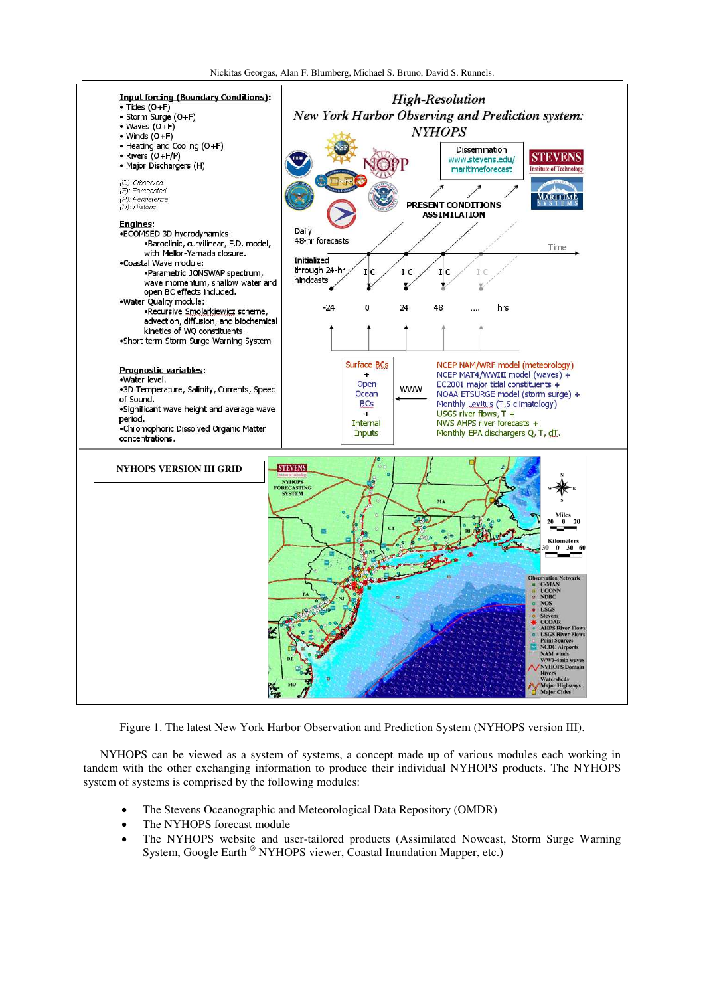

Figure 1. The latest New York Harbor Observation and Prediction System (NYHOPS version III).

NYHOPS can be viewed as a system of systems, a concept made up of various modules each working in tandem with the other exchanging information to produce their individual NYHOPS products. The NYHOPS system of systems is comprised by the following modules:

- The Stevens Oceanographic and Meteorological Data Repository (OMDR)
- The NYHOPS forecast module
- The NYHOPS website and user-tailored products (Assimilated Nowcast, Storm Surge Warning System, Google Earth ® NYHOPS viewer, Coastal Inundation Mapper, etc.)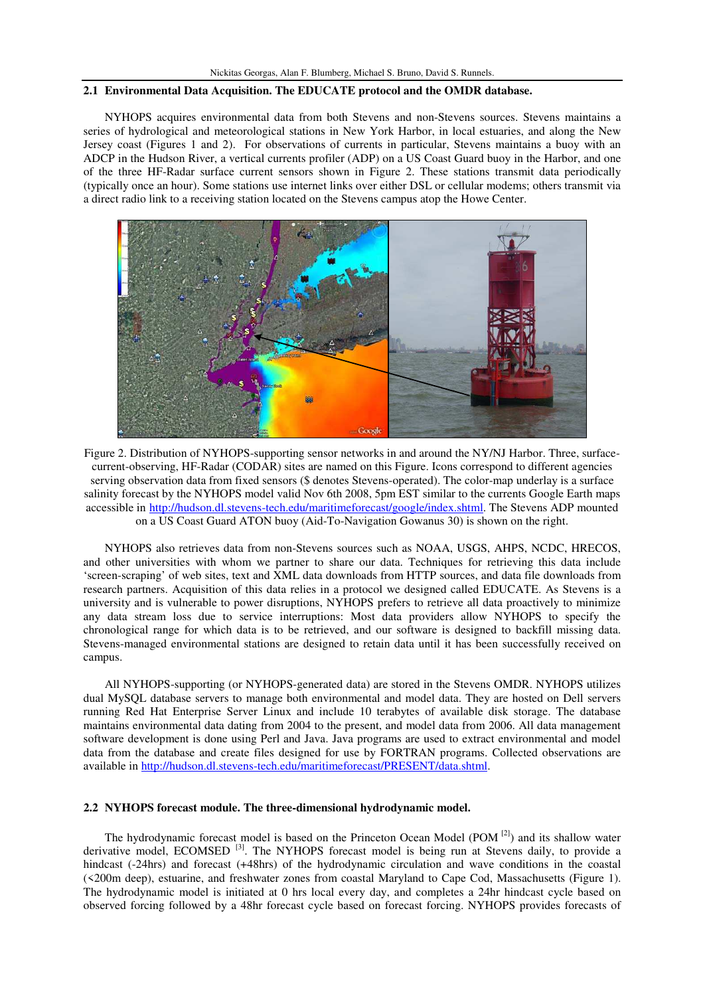#### **2.1 Environmental Data Acquisition. The EDUCATE protocol and the OMDR database.**

NYHOPS acquires environmental data from both Stevens and non-Stevens sources. Stevens maintains a series of hydrological and meteorological stations in New York Harbor, in local estuaries, and along the New Jersey coast (Figures 1 and 2). For observations of currents in particular, Stevens maintains a buoy with an ADCP in the Hudson River, a vertical currents profiler (ADP) on a US Coast Guard buoy in the Harbor, and one of the three HF-Radar surface current sensors shown in Figure 2. These stations transmit data periodically (typically once an hour). Some stations use internet links over either DSL or cellular modems; others transmit via a direct radio link to a receiving station located on the Stevens campus atop the Howe Center.



Figure 2. Distribution of NYHOPS-supporting sensor networks in and around the NY/NJ Harbor. Three, surfacecurrent-observing, HF-Radar (CODAR) sites are named on this Figure. Icons correspond to different agencies serving observation data from fixed sensors (\$ denotes Stevens-operated). The color-map underlay is a surface salinity forecast by the NYHOPS model valid Nov 6th 2008, 5pm EST similar to the currents Google Earth maps accessible in [http://hudson.dl.stevens-tech.edu/maritimeforecast/google/index.shtml.](http://hudson.dl.stevens-tech.edu/maritimeforecast/google/index.shtml) The Stevens ADP mounted on a US Coast Guard ATON buoy (Aid-To-Navigation Gowanus 30) is shown on the right.

NYHOPS also retrieves data from non-Stevens sources such as NOAA, USGS, AHPS, NCDC, HRECOS, and other universities with whom we partner to share our data. Techniques for retrieving this data include 'screen-scraping' of web sites, text and XML data downloads from HTTP sources, and data file downloads from research partners. Acquisition of this data relies in a protocol we designed called EDUCATE. As Stevens is a university and is vulnerable to power disruptions, NYHOPS prefers to retrieve all data proactively to minimize any data stream loss due to service interruptions: Most data providers allow NYHOPS to specify the chronological range for which data is to be retrieved, and our software is designed to backfill missing data. Stevens-managed environmental stations are designed to retain data until it has been successfully received on campus.

All NYHOPS-supporting (or NYHOPS-generated data) are stored in the Stevens OMDR. NYHOPS utilizes dual MySQL database servers to manage both environmental and model data. They are hosted on Dell servers running Red Hat Enterprise Server Linux and include 10 terabytes of available disk storage. The database maintains environmental data dating from 2004 to the present, and model data from 2006. All data management software development is done using Perl and Java. Java programs are used to extract environmental and model data from the database and create files designed for use by FORTRAN programs. Collected observations are available in [http://hudson.dl.stevens-tech.edu/maritimeforecast/PRESENT/data.shtml.](http://hudson.dl.stevens-tech.edu/maritimeforecast/PRESENT/data.shtml)

## **2.2 NYHOPS forecast module. The three-dimensional hydrodynamic model.**

The hydrodynamic forecast model is based on the Princeton Ocean Model (POM<sup>[2]</sup>) and its shallow water derivative model, ECOMSED<sup>[3]</sup>. The NYHOPS forecast model is being run at Stevens daily, to provide a hindcast (-24hrs) and forecast (+48hrs) of the hydrodynamic circulation and wave conditions in the coastal (<200m deep), estuarine, and freshwater zones from coastal Maryland to Cape Cod, Massachusetts (Figure 1). The hydrodynamic model is initiated at 0 hrs local every day, and completes a 24hr hindcast cycle based on observed forcing followed by a 48hr forecast cycle based on forecast forcing. NYHOPS provides forecasts of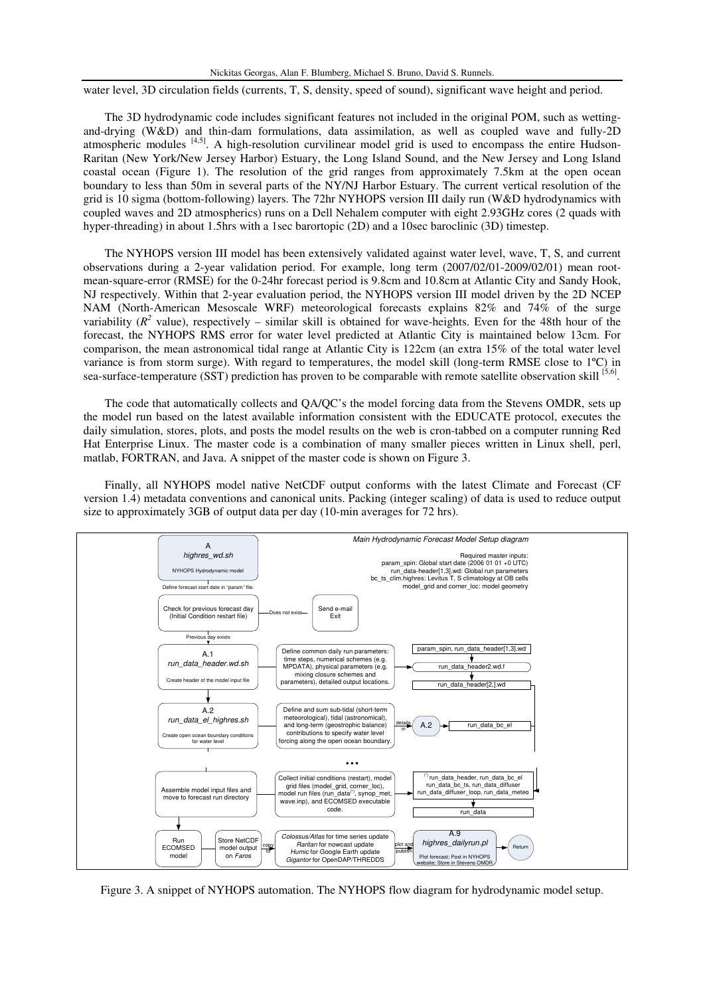water level, 3D circulation fields (currents, T, S, density, speed of sound), significant wave height and period.

The 3D hydrodynamic code includes significant features not included in the original POM, such as wettingand-drying (W&D) and thin-dam formulations, data assimilation, as well as coupled wave and fully-2D atmospheric modules [4,5]. A high-resolution curvilinear model grid is used to encompass the entire Hudson-Raritan (New York/New Jersey Harbor) Estuary, the Long Island Sound, and the New Jersey and Long Island coastal ocean (Figure 1). The resolution of the grid ranges from approximately 7.5km at the open ocean boundary to less than 50m in several parts of the NY/NJ Harbor Estuary. The current vertical resolution of the grid is 10 sigma (bottom-following) layers. The 72hr NYHOPS version III daily run (W&D hydrodynamics with coupled waves and 2D atmospherics) runs on a Dell Nehalem computer with eight 2.93GHz cores (2 quads with hyper-threading) in about 1.5hrs with a 1sec barortopic (2D) and a 10sec baroclinic (3D) timestep.

The NYHOPS version III model has been extensively validated against water level, wave, T, S, and current observations during a 2-year validation period. For example, long term (2007/02/01-2009/02/01) mean rootmean-square-error (RMSE) for the 0-24hr forecast period is 9.8cm and 10.8cm at Atlantic City and Sandy Hook, NJ respectively. Within that 2-year evaluation period, the NYHOPS version III model driven by the 2D NCEP NAM (North-American Mesoscale WRF) meteorological forecasts explains 82% and 74% of the surge variability  $(R^2$  value), respectively – similar skill is obtained for wave-heights. Even for the 48th hour of the forecast, the NYHOPS RMS error for water level predicted at Atlantic City is maintained below 13cm. For comparison, the mean astronomical tidal range at Atlantic City is 122cm (an extra 15% of the total water level variance is from storm surge). With regard to temperatures, the model skill (long-term RMSE close to 1ºC) in sea-surface-temperature (SST) prediction has proven to be comparable with remote satellite observation skill [5,6].

The code that automatically collects and QA/QC's the model forcing data from the Stevens OMDR, sets up the model run based on the latest available information consistent with the EDUCATE protocol, executes the daily simulation, stores, plots, and posts the model results on the web is cron-tabbed on a computer running Red Hat Enterprise Linux. The master code is a combination of many smaller pieces written in Linux shell, perl, matlab, FORTRAN, and Java. A snippet of the master code is shown on Figure 3.

Finally, all NYHOPS model native NetCDF output conforms with the latest Climate and Forecast (CF version 1.4) metadata conventions and canonical units. Packing (integer scaling) of data is used to reduce output size to approximately 3GB of output data per day (10-min averages for 72 hrs).



Figure 3. A snippet of NYHOPS automation. The NYHOPS flow diagram for hydrodynamic model setup.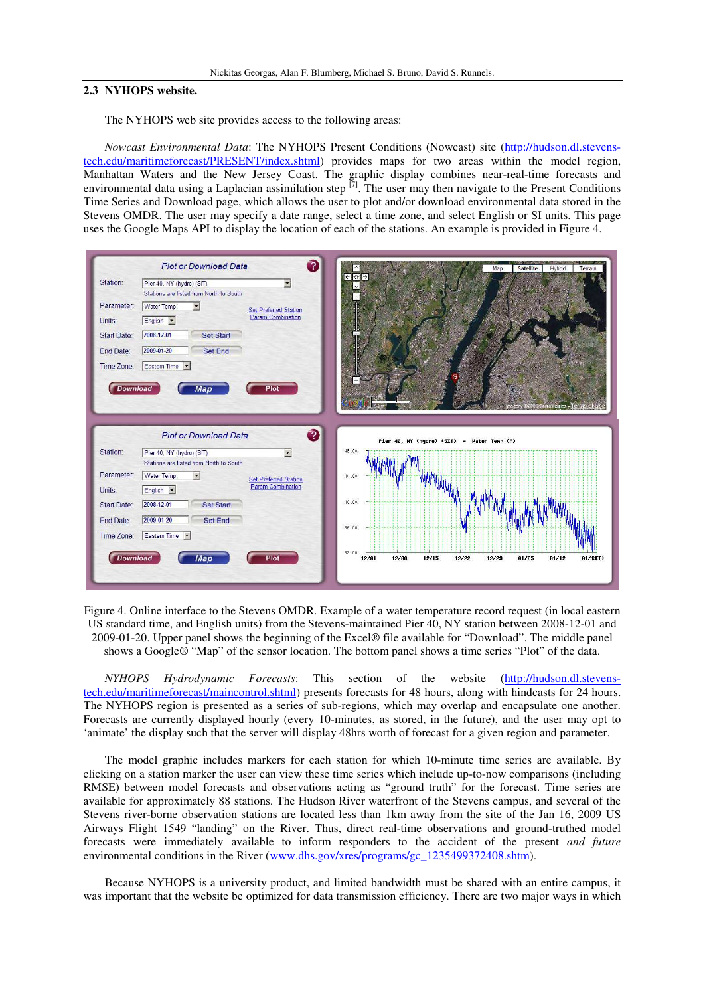## **2.3 NYHOPS website.**

The NYHOPS web site provides access to the following areas:

*Nowcast Environmental Data*: The NYHOPS Present Conditions (Nowcast) site [\(http://hudson.dl.stevens](http://hudson.dl.stevens-tech.edu/maritimeforecast/PRESENT/index.shtml)[tech.edu/maritimeforecast/PRESENT/index.shtml\)](http://hudson.dl.stevens-tech.edu/maritimeforecast/PRESENT/index.shtml) provides maps for two areas within the model region, Manhattan Waters and the New Jersey Coast. The graphic display combines near-real-time forecasts and environmental data using a Laplacian assimilation step  $^{[7]}$ . The user may then navigate to the Present Conditions Time Series and Download page, which allows the user to plot and/or download environmental data stored in the Stevens OMDR. The user may specify a date range, select a time zone, and select English or SI units. This page uses the Google Maps API to display the location of each of the stations. An example is provided in Figure 4.



Figure 4. Online interface to the Stevens OMDR. Example of a water temperature record request (in local eastern US standard time, and English units) from the Stevens-maintained Pier 40, NY station between 2008-12-01 and 2009-01-20. Upper panel shows the beginning of the Excel® file available for "Download". The middle panel shows a Google® "Map" of the sensor location. The bottom panel shows a time series "Plot" of the data.

*NYHOPS Hydrodynamic Forecasts*: This section of the website [\(http://hudson.dl.stevens](http://hudson.dl.stevens-tech.edu/maritimeforecast/maincontrol.shtml)[tech.edu/maritimeforecast/maincontrol.shtml\)](http://hudson.dl.stevens-tech.edu/maritimeforecast/maincontrol.shtml) presents forecasts for 48 hours, along with hindcasts for 24 hours. The NYHOPS region is presented as a series of sub-regions, which may overlap and encapsulate one another. Forecasts are currently displayed hourly (every 10-minutes, as stored, in the future), and the user may opt to 'animate' the display such that the server will display 48hrs worth of forecast for a given region and parameter.

The model graphic includes markers for each station for which 10-minute time series are available. By clicking on a station marker the user can view these time series which include up-to-now comparisons (including RMSE) between model forecasts and observations acting as "ground truth" for the forecast. Time series are available for approximately 88 stations. The Hudson River waterfront of the Stevens campus, and several of the Stevens river-borne observation stations are located less than 1km away from the site of the Jan 16, 2009 US Airways Flight 1549 "landing" on the River. Thus, direct real-time observations and ground-truthed model forecasts were immediately available to inform responders to the accident of the present *and future* environmental conditions in the River [\(www.dhs.gov/xres/programs/gc\\_1235499372408.shtm\)](http://www.dhs.gov/xres/programs/gc_1235499372408.shtm).

Because NYHOPS is a university product, and limited bandwidth must be shared with an entire campus, it was important that the website be optimized for data transmission efficiency. There are two major ways in which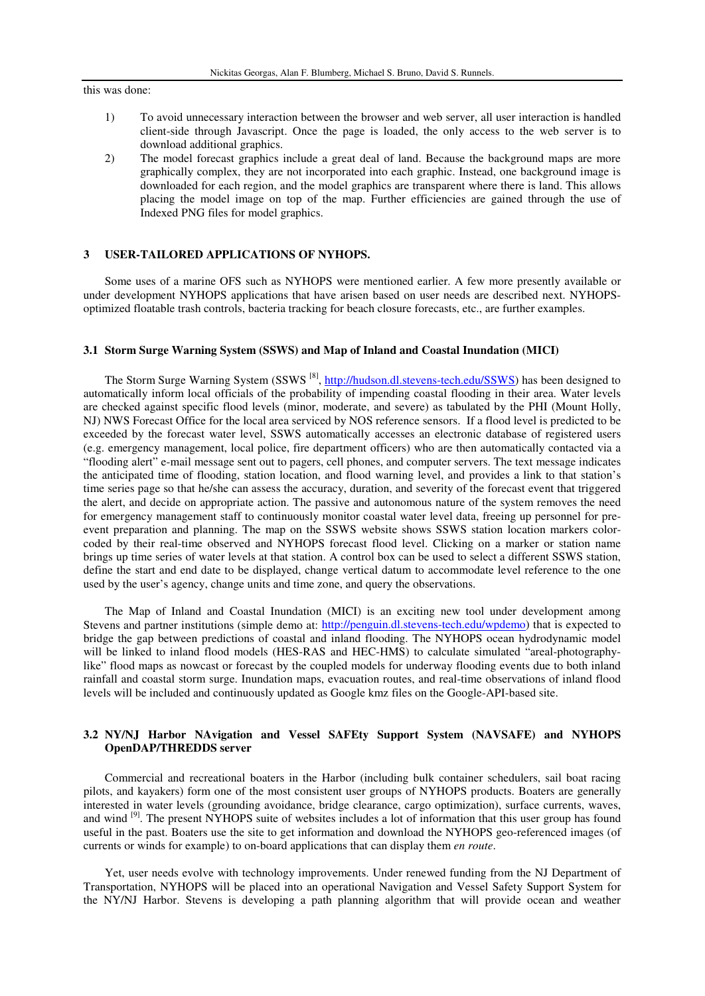this was done:

- 1) To avoid unnecessary interaction between the browser and web server, all user interaction is handled client-side through Javascript. Once the page is loaded, the only access to the web server is to download additional graphics.
- 2) The model forecast graphics include a great deal of land. Because the background maps are more graphically complex, they are not incorporated into each graphic. Instead, one background image is downloaded for each region, and the model graphics are transparent where there is land. This allows placing the model image on top of the map. Further efficiencies are gained through the use of Indexed PNG files for model graphics.

## **3 USER-TAILORED APPLICATIONS OF NYHOPS.**

Some uses of a marine OFS such as NYHOPS were mentioned earlier. A few more presently available or under development NYHOPS applications that have arisen based on user needs are described next. NYHOPSoptimized floatable trash controls, bacteria tracking for beach closure forecasts, etc., are further examples.

#### **3.1 Storm Surge Warning System (SSWS) and Map of Inland and Coastal Inundation (MICI)**

The Storm Surge Warning System (SSWS<sup>[8]</sup>, [http://hudson.dl.stevens-tech.edu/SSWS\)](http://hudson.dl.stevens-tech.edu/SSWS) has been designed to automatically inform local officials of the probability of impending coastal flooding in their area. Water levels are checked against specific flood levels (minor, moderate, and severe) as tabulated by the PHI (Mount Holly, NJ) NWS Forecast Office for the local area serviced by NOS reference sensors. If a flood level is predicted to be exceeded by the forecast water level, SSWS automatically accesses an electronic database of registered users (e.g. emergency management, local police, fire department officers) who are then automatically contacted via a "flooding alert" e-mail message sent out to pagers, cell phones, and computer servers. The text message indicates the anticipated time of flooding, station location, and flood warning level, and provides a link to that station's time series page so that he/she can assess the accuracy, duration, and severity of the forecast event that triggered the alert, and decide on appropriate action. The passive and autonomous nature of the system removes the need for emergency management staff to continuously monitor coastal water level data, freeing up personnel for preevent preparation and planning. The map on the SSWS website shows SSWS station location markers colorcoded by their real-time observed and NYHOPS forecast flood level. Clicking on a marker or station name brings up time series of water levels at that station. A control box can be used to select a different SSWS station, define the start and end date to be displayed, change vertical datum to accommodate level reference to the one used by the user's agency, change units and time zone, and query the observations.

The Map of Inland and Coastal Inundation (MICI) is an exciting new tool under development among Stevens and partner institutions (simple demo at: [http://penguin.dl.stevens-tech.edu/wpdemo\)](http://penguin.dl.stevens-tech.edu/wpdemo) that is expected to bridge the gap between predictions of coastal and inland flooding. The NYHOPS ocean hydrodynamic model will be linked to inland flood models (HES-RAS and HEC-HMS) to calculate simulated "areal-photographylike" flood maps as nowcast or forecast by the coupled models for underway flooding events due to both inland rainfall and coastal storm surge. Inundation maps, evacuation routes, and real-time observations of inland flood levels will be included and continuously updated as Google kmz files on the Google-API-based site.

## **3.2 NY/NJ Harbor NAvigation and Vessel SAFEty Support System (NAVSAFE) and NYHOPS OpenDAP/THREDDS server**

Commercial and recreational boaters in the Harbor (including bulk container schedulers, sail boat racing pilots, and kayakers) form one of the most consistent user groups of NYHOPS products. Boaters are generally interested in water levels (grounding avoidance, bridge clearance, cargo optimization), surface currents, waves, and wind <sup>[9]</sup>. The present NYHOPS suite of websites includes a lot of information that this user group has found useful in the past. Boaters use the site to get information and download the NYHOPS geo-referenced images (of currents or winds for example) to on-board applications that can display them *en route*.

Yet, user needs evolve with technology improvements. Under renewed funding from the NJ Department of Transportation, NYHOPS will be placed into an operational Navigation and Vessel Safety Support System for the NY/NJ Harbor. Stevens is developing a path planning algorithm that will provide ocean and weather